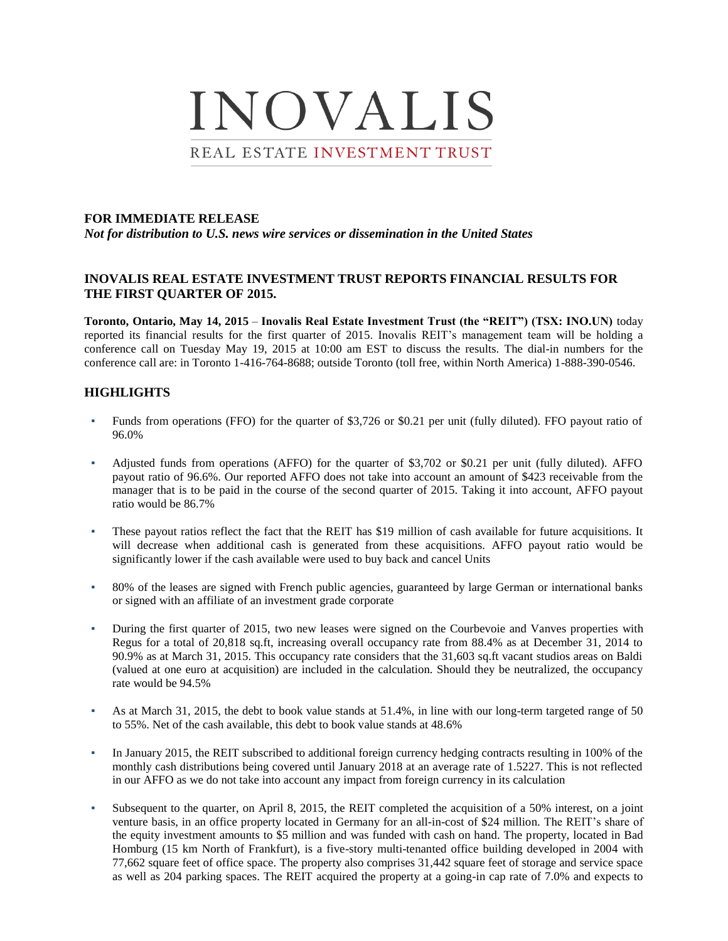

#### **FOR IMMEDIATE RELEASE**

*Not for distribution to U.S. news wire services or dissemination in the United States*

### **INOVALIS REAL ESTATE INVESTMENT TRUST REPORTS FINANCIAL RESULTS FOR THE FIRST QUARTER OF 2015.**

**Toronto, Ontario, May 14, 2015** – **Inovalis Real Estate Investment Trust (the "REIT") (TSX: INO.UN)** today reported its financial results for the first quarter of 2015. Inovalis REIT's management team will be holding a conference call on Tuesday May 19, 2015 at 10:00 am EST to discuss the results. The dial-in numbers for the conference call are: in Toronto 1-416-764-8688; outside Toronto (toll free, within North America) 1-888-390-0546.

### **HIGHLIGHTS**

- Funds from operations (FFO) for the quarter of \$3,726 or \$0.21 per unit (fully diluted). FFO payout ratio of 96.0%
- Adjusted funds from operations (AFFO) for the quarter of \$3,702 or \$0.21 per unit (fully diluted). AFFO payout ratio of 96.6%. Our reported AFFO does not take into account an amount of \$423 receivable from the manager that is to be paid in the course of the second quarter of 2015. Taking it into account, AFFO payout ratio would be 86.7%
- These payout ratios reflect the fact that the REIT has \$19 million of cash available for future acquisitions. It will decrease when additional cash is generated from these acquisitions. AFFO payout ratio would be significantly lower if the cash available were used to buy back and cancel Units
- 80% of the leases are signed with French public agencies, guaranteed by large German or international banks or signed with an affiliate of an investment grade corporate
- During the first quarter of 2015, two new leases were signed on the Courbevoie and Vanves properties with Regus for a total of 20,818 sq.ft, increasing overall occupancy rate from 88.4% as at December 31, 2014 to 90.9% as at March 31, 2015. This occupancy rate considers that the 31,603 sq.ft vacant studios areas on Baldi (valued at one euro at acquisition) are included in the calculation. Should they be neutralized, the occupancy rate would be 94.5%
- As at March 31, 2015, the debt to book value stands at 51.4%, in line with our long-term targeted range of 50 to 55%. Net of the cash available, this debt to book value stands at 48.6%
- In January 2015, the REIT subscribed to additional foreign currency hedging contracts resulting in 100% of the monthly cash distributions being covered until January 2018 at an average rate of 1.5227. This is not reflected in our AFFO as we do not take into account any impact from foreign currency in its calculation
- Subsequent to the quarter, on April 8, 2015, the REIT completed the acquisition of a 50% interest, on a joint venture basis, in an office property located in Germany for an all-in-cost of \$24 million. The REIT's share of the equity investment amounts to \$5 million and was funded with cash on hand. The property, located in Bad Homburg (15 km North of Frankfurt), is a five-story multi-tenanted office building developed in 2004 with 77,662 square feet of office space. The property also comprises 31,442 square feet of storage and service space as well as 204 parking spaces. The REIT acquired the property at a going-in cap rate of 7.0% and expects to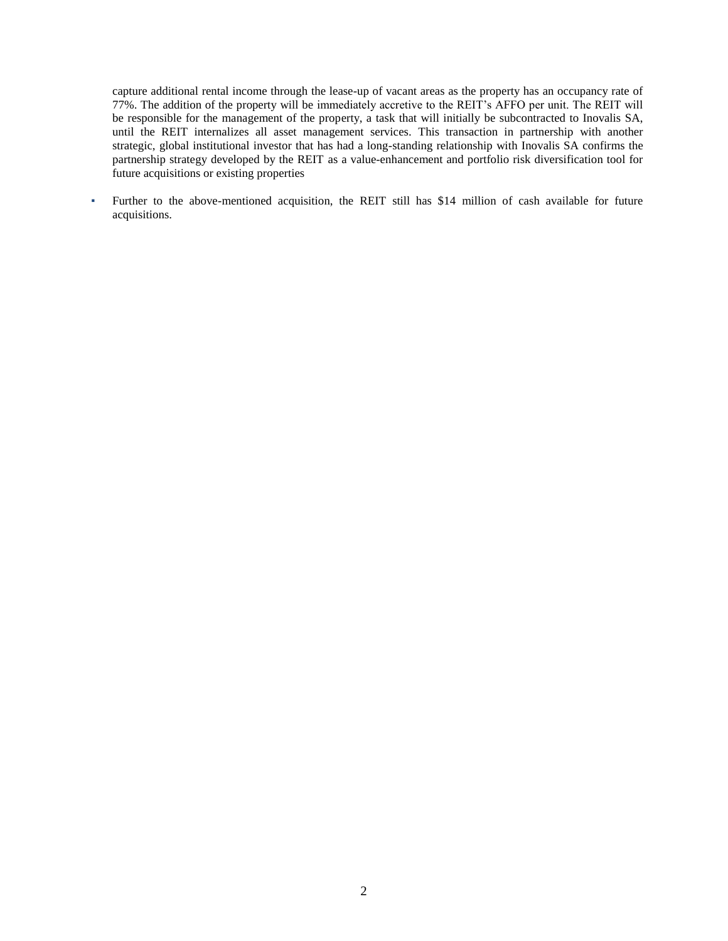capture additional rental income through the lease-up of vacant areas as the property has an occupancy rate of 77%. The addition of the property will be immediately accretive to the REIT's AFFO per unit. The REIT will be responsible for the management of the property, a task that will initially be subcontracted to Inovalis SA, until the REIT internalizes all asset management services. This transaction in partnership with another strategic, global institutional investor that has had a long-standing relationship with Inovalis SA confirms the partnership strategy developed by the REIT as a value-enhancement and portfolio risk diversification tool for future acquisitions or existing properties

▪ Further to the above-mentioned acquisition, the REIT still has \$14 million of cash available for future acquisitions.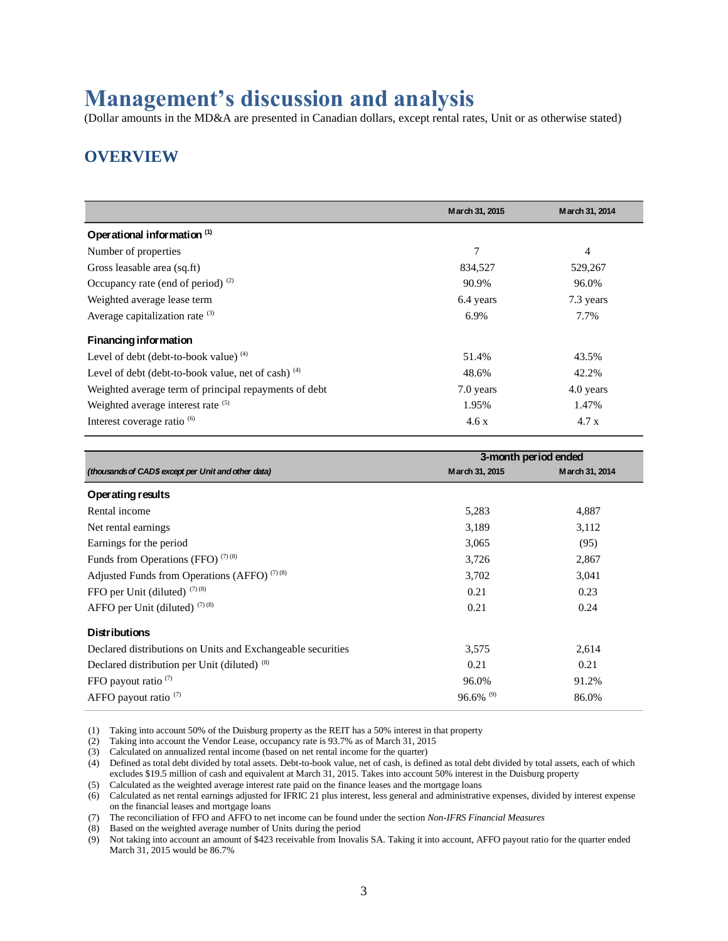# **Management's discussion and analysis**

(Dollar amounts in the MD&A are presented in Canadian dollars, except rental rates, Unit or as otherwise stated)

# **OVERVIEW**

|                                                       | March 31, 2015 | March 31, 2014 |
|-------------------------------------------------------|----------------|----------------|
| Operational information (1)                           |                |                |
| Number of properties                                  | 7              | 4              |
| Gross leasable area (sq.ft)                           | 834,527        | 529,267        |
| Occupancy rate (end of period) $(2)$                  | 90.9%          | 96.0%          |
| Weighted average lease term                           | 6.4 years      | 7.3 years      |
| Average capitalization rate $(3)$                     | 6.9%           | 7.7%           |
| <b>Financing information</b>                          |                |                |
| Level of debt (debt-to-book value) $(4)$              | 51.4%          | 43.5%          |
| Level of debt (debt-to-book value, net of cash) $(4)$ | 48.6%          | 42.2%          |
| Weighted average term of principal repayments of debt | 7.0 years      | 4.0 years      |
| Weighted average interest rate (5)                    | 1.95%          | 1.47%          |
| Interest coverage ratio <sup>(6)</sup>                | 4.6x           | 4.7x           |

|                                                             | 3-month period ended    |                |  |  |
|-------------------------------------------------------------|-------------------------|----------------|--|--|
| (thousands of CAD\$ except per Unit and other data)         | March 31, 2015          | March 31, 2014 |  |  |
| Operating results                                           |                         |                |  |  |
| Rental income                                               | 5,283                   | 4,887          |  |  |
| Net rental earnings                                         | 3,189                   | 3,112          |  |  |
| Earnings for the period                                     | 3,065                   | (95)           |  |  |
| Funds from Operations (FFO) $(7)(8)$                        | 3,726                   | 2,867          |  |  |
| Adjusted Funds from Operations (AFFO) $(7)(8)$              | 3,702                   | 3,041          |  |  |
| FFO per Unit (diluted) $(7)(8)$                             | 0.21                    | 0.23           |  |  |
| AFFO per Unit (diluted) $(7)(8)$                            | 0.21                    | 0.24           |  |  |
| <b>Distributions</b>                                        |                         |                |  |  |
| Declared distributions on Units and Exchangeable securities | 3,575                   | 2,614          |  |  |
| Declared distribution per Unit (diluted) <sup>(8)</sup>     | 0.21                    | 0.21           |  |  |
| FFO payout ratio $(7)$                                      | 96.0%                   | 91.2%          |  |  |
| AFFO payout ratio $(7)$                                     | $96.6\%$ <sup>(9)</sup> | 86.0%          |  |  |

(1) Taking into account 50% of the Duisburg property as the REIT has a 50% interest in that property

(2) Taking into account the Vendor Lease, occupancy rate is 93.7% as of March 31, 2015

(3) Calculated on annualized rental income (based on net rental income for the quarter)

(4) Defined as total debt divided by total assets. Debt-to-book value, net of cash, is defined as total debt divided by total assets, each of which excludes \$19.5 million of cash and equivalent at March 31, 2015. Takes into account 50% interest in the Duisburg property

(5) Calculated as the weighted average interest rate paid on the finance leases and the mortgage loans

(6) Calculated as net rental earnings adjusted for IFRIC 21 plus interest, less general and administrative expenses, divided by interest expense on the financial leases and mortgage loans

(7) The reconciliation of FFO and AFFO to net income can be found under the section *Non-IFRS Financial Measures*

(8) Based on the weighted average number of Units during the period

(9) Not taking into account an amount of \$423 receivable from Inovalis SA. Taking it into account, AFFO payout ratio for the quarter ended March 31, 2015 would be 86.7%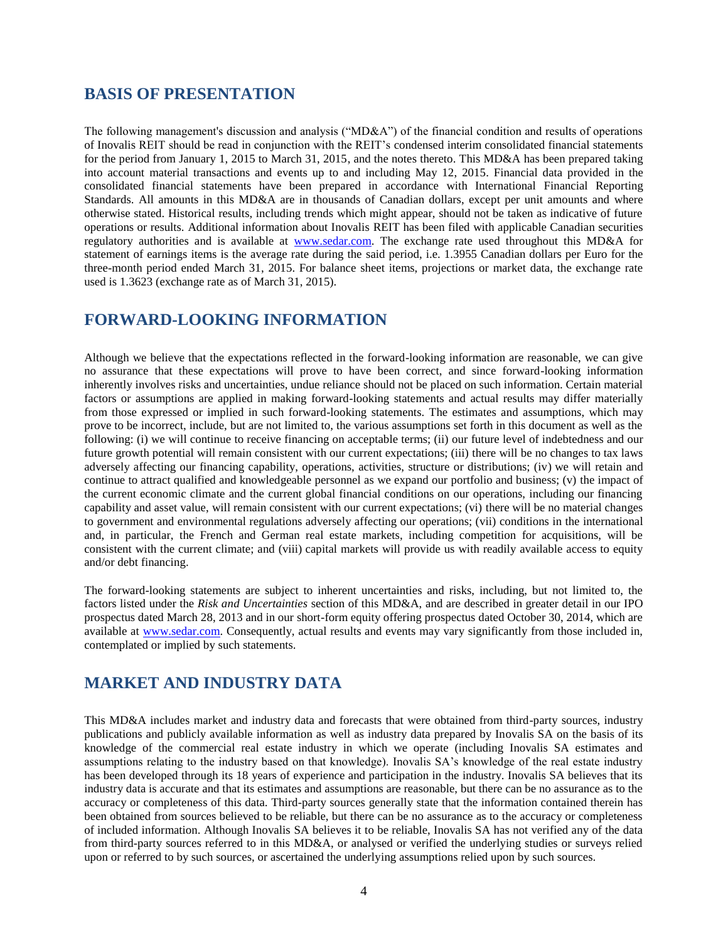### **BASIS OF PRESENTATION**

The following management's discussion and analysis ("MD&A") of the financial condition and results of operations of Inovalis REIT should be read in conjunction with the REIT's condensed interim consolidated financial statements for the period from January 1, 2015 to March 31, 2015, and the notes thereto. This MD&A has been prepared taking into account material transactions and events up to and including May 12, 2015. Financial data provided in the consolidated financial statements have been prepared in accordance with International Financial Reporting Standards. All amounts in this MD&A are in thousands of Canadian dollars, except per unit amounts and where otherwise stated. Historical results, including trends which might appear, should not be taken as indicative of future operations or results. Additional information about Inovalis REIT has been filed with applicable Canadian securities regulatory authorities and is available at [www.sedar.com.](http://www.sedar.com/) The exchange rate used throughout this MD&A for statement of earnings items is the average rate during the said period, i.e. 1.3955 Canadian dollars per Euro for the three-month period ended March 31, 2015. For balance sheet items, projections or market data, the exchange rate used is 1.3623 (exchange rate as of March 31, 2015).

### **FORWARD-LOOKING INFORMATION**

Although we believe that the expectations reflected in the forward-looking information are reasonable, we can give no assurance that these expectations will prove to have been correct, and since forward-looking information inherently involves risks and uncertainties, undue reliance should not be placed on such information. Certain material factors or assumptions are applied in making forward-looking statements and actual results may differ materially from those expressed or implied in such forward-looking statements. The estimates and assumptions, which may prove to be incorrect, include, but are not limited to, the various assumptions set forth in this document as well as the following: (i) we will continue to receive financing on acceptable terms; (ii) our future level of indebtedness and our future growth potential will remain consistent with our current expectations; (iii) there will be no changes to tax laws adversely affecting our financing capability, operations, activities, structure or distributions; (iv) we will retain and continue to attract qualified and knowledgeable personnel as we expand our portfolio and business; (v) the impact of the current economic climate and the current global financial conditions on our operations, including our financing capability and asset value, will remain consistent with our current expectations; (vi) there will be no material changes to government and environmental regulations adversely affecting our operations; (vii) conditions in the international and, in particular, the French and German real estate markets, including competition for acquisitions, will be consistent with the current climate; and (viii) capital markets will provide us with readily available access to equity and/or debt financing.

The forward-looking statements are subject to inherent uncertainties and risks, including, but not limited to, the factors listed under the *Risk and Uncertainties* section of this MD&A, and are described in greater detail in our IPO prospectus dated March 28, 2013 and in our short-form equity offering prospectus dated October 30, 2014, which are available at [www.sedar.com.](http://www.sedar.com/) Consequently, actual results and events may vary significantly from those included in, contemplated or implied by such statements.

### **MARKET AND INDUSTRY DATA**

This MD&A includes market and industry data and forecasts that were obtained from third-party sources, industry publications and publicly available information as well as industry data prepared by Inovalis SA on the basis of its knowledge of the commercial real estate industry in which we operate (including Inovalis SA estimates and assumptions relating to the industry based on that knowledge). Inovalis SA's knowledge of the real estate industry has been developed through its 18 years of experience and participation in the industry. Inovalis SA believes that its industry data is accurate and that its estimates and assumptions are reasonable, but there can be no assurance as to the accuracy or completeness of this data. Third-party sources generally state that the information contained therein has been obtained from sources believed to be reliable, but there can be no assurance as to the accuracy or completeness of included information. Although Inovalis SA believes it to be reliable, Inovalis SA has not verified any of the data from third-party sources referred to in this MD&A, or analysed or verified the underlying studies or surveys relied upon or referred to by such sources, or ascertained the underlying assumptions relied upon by such sources.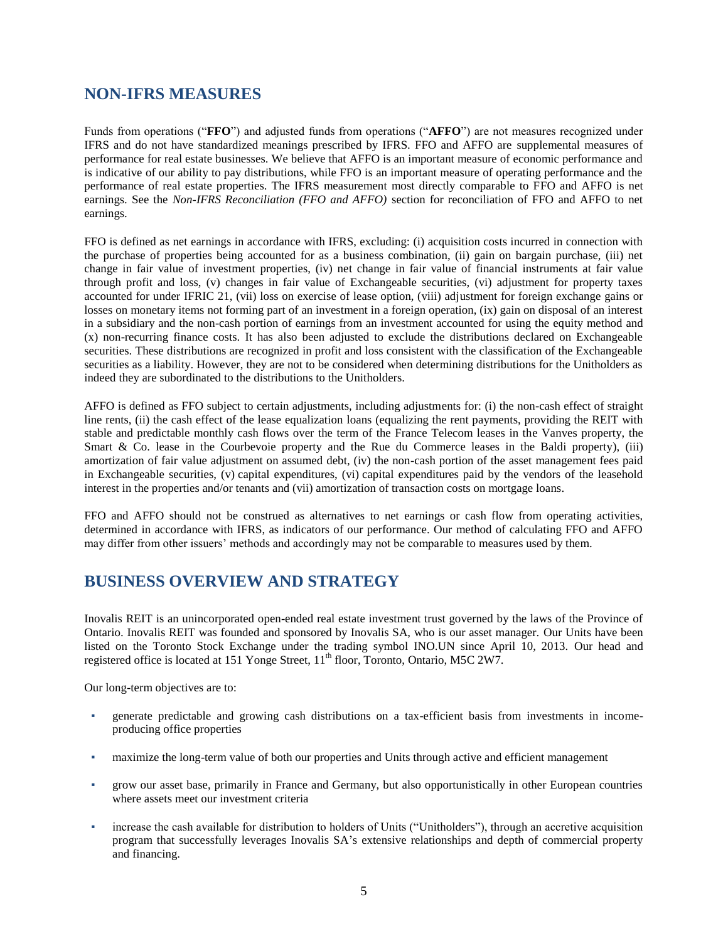### **NON-IFRS MEASURES**

Funds from operations ("**FFO**") and adjusted funds from operations ("**AFFO**") are not measures recognized under IFRS and do not have standardized meanings prescribed by IFRS. FFO and AFFO are supplemental measures of performance for real estate businesses. We believe that AFFO is an important measure of economic performance and is indicative of our ability to pay distributions, while FFO is an important measure of operating performance and the performance of real estate properties. The IFRS measurement most directly comparable to FFO and AFFO is net earnings. See the *Non-IFRS Reconciliation (FFO and AFFO)* section for reconciliation of FFO and AFFO to net earnings.

FFO is defined as net earnings in accordance with IFRS, excluding: (i) acquisition costs incurred in connection with the purchase of properties being accounted for as a business combination, (ii) gain on bargain purchase, (iii) net change in fair value of investment properties, (iv) net change in fair value of financial instruments at fair value through profit and loss, (v) changes in fair value of Exchangeable securities, (vi) adjustment for property taxes accounted for under IFRIC 21, (vii) loss on exercise of lease option, (viii) adjustment for foreign exchange gains or losses on monetary items not forming part of an investment in a foreign operation, (ix) gain on disposal of an interest in a subsidiary and the non-cash portion of earnings from an investment accounted for using the equity method and (x) non-recurring finance costs. It has also been adjusted to exclude the distributions declared on Exchangeable securities. These distributions are recognized in profit and loss consistent with the classification of the Exchangeable securities as a liability. However, they are not to be considered when determining distributions for the Unitholders as indeed they are subordinated to the distributions to the Unitholders.

AFFO is defined as FFO subject to certain adjustments, including adjustments for: (i) the non-cash effect of straight line rents, (ii) the cash effect of the lease equalization loans (equalizing the rent payments, providing the REIT with stable and predictable monthly cash flows over the term of the France Telecom leases in the Vanves property, the Smart & Co. lease in the Courbevoie property and the Rue du Commerce leases in the Baldi property), (iii) amortization of fair value adjustment on assumed debt, (iv) the non-cash portion of the asset management fees paid in Exchangeable securities, (v) capital expenditures, (vi) capital expenditures paid by the vendors of the leasehold interest in the properties and/or tenants and (vii) amortization of transaction costs on mortgage loans.

FFO and AFFO should not be construed as alternatives to net earnings or cash flow from operating activities, determined in accordance with IFRS, as indicators of our performance. Our method of calculating FFO and AFFO may differ from other issuers' methods and accordingly may not be comparable to measures used by them.

# **BUSINESS OVERVIEW AND STRATEGY**

Inovalis REIT is an unincorporated open-ended real estate investment trust governed by the laws of the Province of Ontario. Inovalis REIT was founded and sponsored by Inovalis SA, who is our asset manager. Our Units have been listed on the Toronto Stock Exchange under the trading symbol INO.UN since April 10, 2013. Our head and registered office is located at 151 Yonge Street, 11<sup>th</sup> floor, Toronto, Ontario, M5C 2W7.

Our long-term objectives are to:

- generate predictable and growing cash distributions on a tax-efficient basis from investments in incomeproducing office properties
- maximize the long-term value of both our properties and Units through active and efficient management
- grow our asset base, primarily in France and Germany, but also opportunistically in other European countries where assets meet our investment criteria
- increase the cash available for distribution to holders of Units ("Unitholders"), through an accretive acquisition program that successfully leverages Inovalis SA's extensive relationships and depth of commercial property and financing.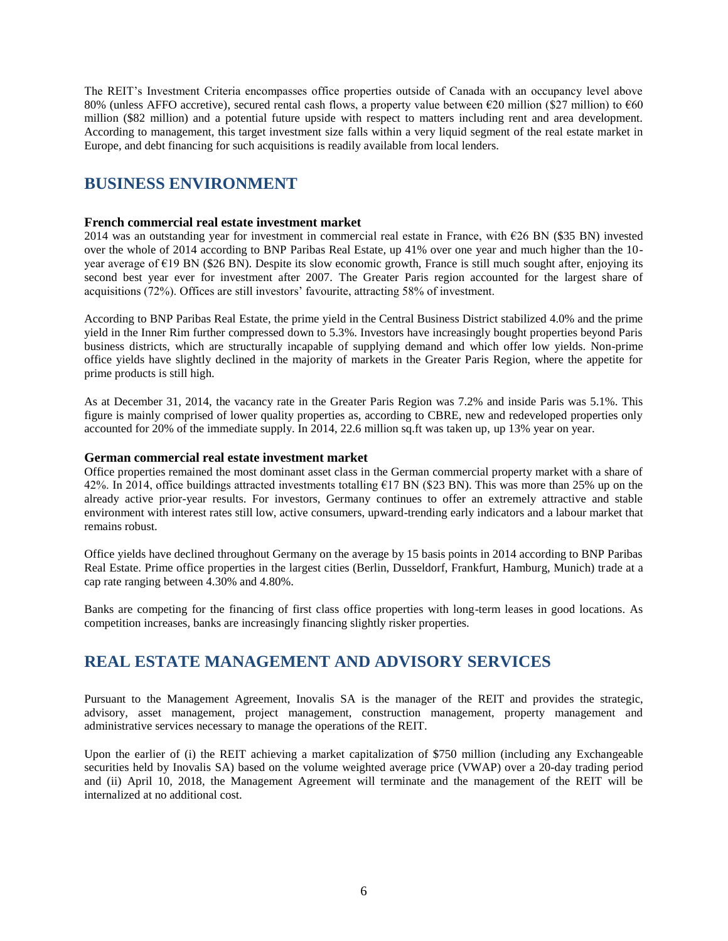The REIT's Investment Criteria encompasses office properties outside of Canada with an occupancy level above 80% (unless AFFO accretive), secured rental cash flows, a property value between €20 million (\$27 million) to €60 million (\$82 million) and a potential future upside with respect to matters including rent and area development. According to management, this target investment size falls within a very liquid segment of the real estate market in Europe, and debt financing for such acquisitions is readily available from local lenders.

### **BUSINESS ENVIRONMENT**

#### **French commercial real estate investment market**

2014 was an outstanding year for investment in commercial real estate in France, with €26 BN (\$35 BN) invested over the whole of 2014 according to BNP Paribas Real Estate, up 41% over one year and much higher than the 10 year average of  $\epsilon$ 19 BN (\$26 BN). Despite its slow economic growth, France is still much sought after, enjoying its second best year ever for investment after 2007. The Greater Paris region accounted for the largest share of acquisitions (72%). Offices are still investors' favourite, attracting 58% of investment.

According to BNP Paribas Real Estate, the prime yield in the Central Business District stabilized 4.0% and the prime yield in the Inner Rim further compressed down to 5.3%. Investors have increasingly bought properties beyond Paris business districts, which are structurally incapable of supplying demand and which offer low yields. Non-prime office yields have slightly declined in the majority of markets in the Greater Paris Region, where the appetite for prime products is still high.

As at December 31, 2014, the vacancy rate in the Greater Paris Region was 7.2% and inside Paris was 5.1%. This figure is mainly comprised of lower quality properties as, according to CBRE, new and redeveloped properties only accounted for 20% of the immediate supply. In 2014, 22.6 million sq.ft was taken up, up 13% year on year.

#### **German commercial real estate investment market**

Office properties remained the most dominant asset class in the German commercial property market with a share of 42%. In 2014, office buildings attracted investments totalling  $E17 \text{ BN}$  (\$23 BN). This was more than 25% up on the already active prior-year results. For investors, Germany continues to offer an extremely attractive and stable environment with interest rates still low, active consumers, upward-trending early indicators and a labour market that remains robust.

Office yields have declined throughout Germany on the average by 15 basis points in 2014 according to BNP Paribas Real Estate. Prime office properties in the largest cities (Berlin, Dusseldorf, Frankfurt, Hamburg, Munich) trade at a cap rate ranging between 4.30% and 4.80%.

Banks are competing for the financing of first class office properties with long-term leases in good locations. As competition increases, banks are increasingly financing slightly risker properties.

# **REAL ESTATE MANAGEMENT AND ADVISORY SERVICES**

Pursuant to the Management Agreement, Inovalis SA is the manager of the REIT and provides the strategic, advisory, asset management, project management, construction management, property management and administrative services necessary to manage the operations of the REIT.

Upon the earlier of (i) the REIT achieving a market capitalization of \$750 million (including any Exchangeable securities held by Inovalis SA) based on the volume weighted average price (VWAP) over a 20-day trading period and (ii) April 10, 2018, the Management Agreement will terminate and the management of the REIT will be internalized at no additional cost.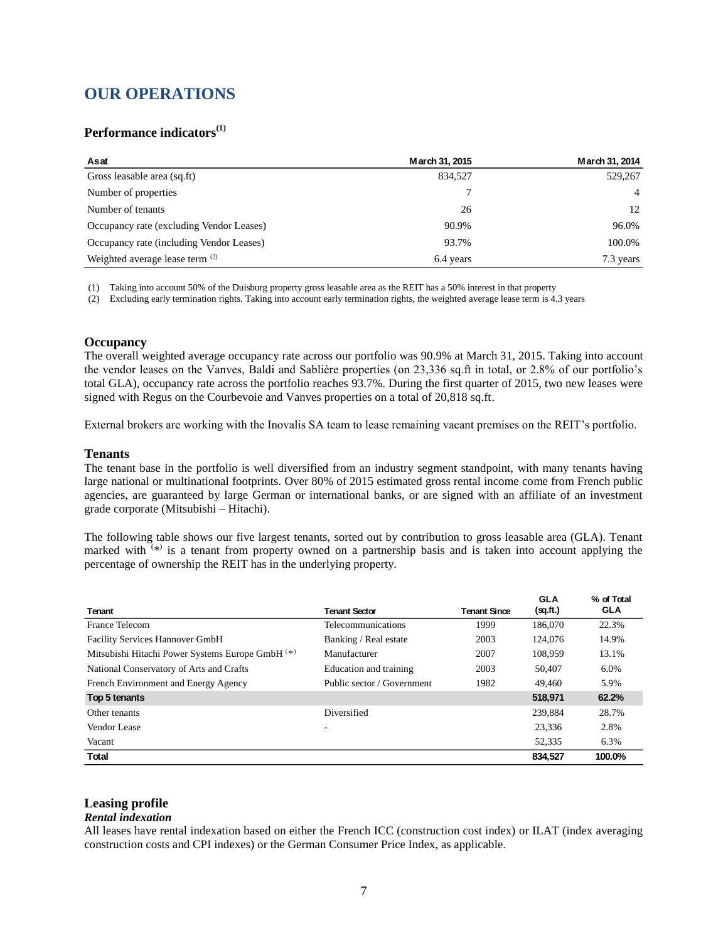### **OUR OPERATIONS**

### **Performance indicators(1)**

| Asat                                       | March 31, 2015 | March 31, 2014 |
|--------------------------------------------|----------------|----------------|
| Gross leasable area (sq.ft)                | 834.527        | 529,267        |
| Number of properties                       |                | $\overline{4}$ |
| Number of tenants                          | 26             | 12             |
| Occupancy rate (excluding Vendor Leases)   | 90.9%          | 96.0%          |
| Occupancy rate (including Vendor Leases)   | 93.7%          | 100.0%         |
| Weighted average lease term <sup>(2)</sup> | 6.4 years      | 7.3 years      |

(1) Taking into account 50% of the Duisburg property gross leasable area as the REIT has a 50% interest in that property

(2) Excluding early termination rights. Taking into account early termination rights, the weighted average lease term is 4.3 years

#### **Occupancy**

The overall weighted average occupancy rate across our portfolio was 90.9% at March 31, 2015. Taking into account the vendor leases on the Vanves, Baldi and Sablière properties (on 23,336 sq.ft in total, or 2.8% of our portfolio's total GLA), occupancy rate across the portfolio reaches 93.7%. During the first quarter of 2015, two new leases were signed with Regus on the Courbevoie and Vanves properties on a total of 20,818 sq.ft.

External brokers are working with the Inovalis SA team to lease remaining vacant premises on the REIT's portfolio.

#### **Tenants**

The tenant base in the portfolio is well diversified from an industry segment standpoint, with many tenants having large national or multinational footprints. Over 80% of 2015 estimated gross rental income come from French public agencies, are guaranteed by large German or international banks, or are signed with an affiliate of an investment grade corporate (Mitsubishi – Hitachi).

The following table shows our five largest tenants, sorted out by contribution to gross leasable area (GLA). Tenant marked with  $(*)$  is a tenant from property owned on a partnership basis and is taken into account applying the percentage of ownership the REIT has in the underlying property.

| Tenant                                           | <b>Tenant Sector</b>       | <b>Tenant Since</b> | <b>GLA</b><br>(sq.fit.) | % of Total<br><b>GLA</b> |
|--------------------------------------------------|----------------------------|---------------------|-------------------------|--------------------------|
| France Telecom                                   | Telecommunications         | 1999                | 186,070                 | 22.3%                    |
| <b>Facility Services Hannover GmbH</b>           | Banking / Real estate      | 2003                | 124,076                 | 14.9%                    |
| Mitsubishi Hitachi Power Systems Europe GmbH (*) | Manufacturer               | 2007                | 108.959                 | 13.1%                    |
| National Conservatory of Arts and Crafts         | Education and training     | 2003                | 50,407                  | 6.0%                     |
| French Environment and Energy Agency             | Public sector / Government | 1982                | 49.460                  | 5.9%                     |
| Top 5 tenants                                    |                            |                     | 518,971                 | 62.2%                    |
| Other tenants                                    | Diversified                |                     | 239.884                 | 28.7%                    |
| Vendor Lease                                     | ۰                          |                     | 23.336                  | 2.8%                     |
| Vacant                                           |                            |                     | 52,335                  | 6.3%                     |
| Total                                            |                            |                     | 834,527                 | 100.0%                   |

#### **Leasing profile**

#### *Rental indexation*

All leases have rental indexation based on either the French ICC (construction cost index) or ILAT (index averaging construction costs and CPI indexes) or the German Consumer Price Index, as applicable.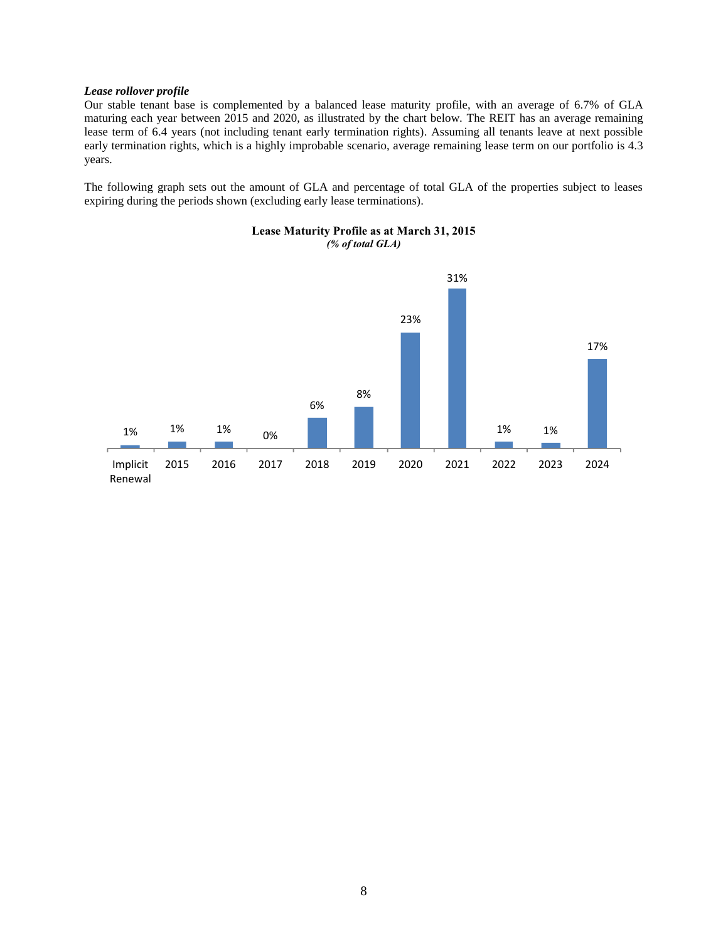#### *Lease rollover profile*

Our stable tenant base is complemented by a balanced lease maturity profile, with an average of 6.7% of GLA maturing each year between 2015 and 2020, as illustrated by the chart below. The REIT has an average remaining lease term of 6.4 years (not including tenant early termination rights). Assuming all tenants leave at next possible early termination rights, which is a highly improbable scenario, average remaining lease term on our portfolio is 4.3 years.

The following graph sets out the amount of GLA and percentage of total GLA of the properties subject to leases expiring during the periods shown (excluding early lease terminations).



#### **Lease Maturity Profile as at March 31, 2015** *(% of total GLA)*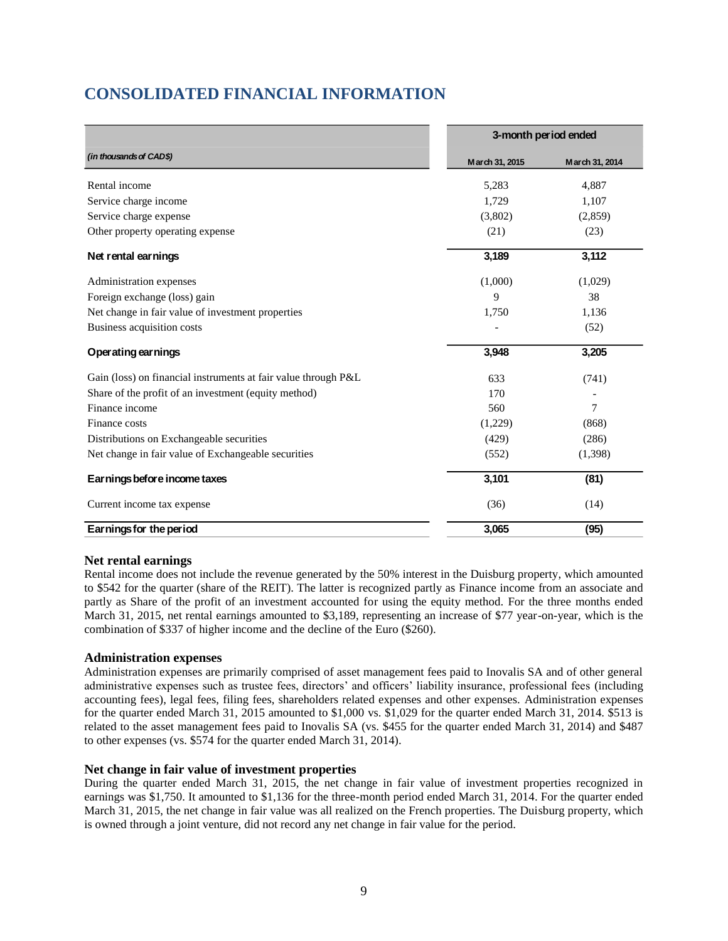# **CONSOLIDATED FINANCIAL INFORMATION**

|                                                                | 3-month period ended |                |
|----------------------------------------------------------------|----------------------|----------------|
| (in thousands of CAD\$)                                        | March 31, 2015       | March 31, 2014 |
| Rental income                                                  | 5,283                | 4,887          |
| Service charge income                                          | 1,729                | 1,107          |
| Service charge expense                                         | (3,802)              | (2,859)        |
| Other property operating expense                               | (21)                 | (23)           |
| Net rental earnings                                            | 3,189                | 3,112          |
| Administration expenses                                        | (1,000)              | (1,029)        |
| Foreign exchange (loss) gain                                   | 9                    | 38             |
| Net change in fair value of investment properties              | 1,750                | 1,136          |
| Business acquisition costs                                     |                      | (52)           |
| Operating earnings                                             | 3,948                | 3,205          |
| Gain (loss) on financial instruments at fair value through P&L | 633                  | (741)          |
| Share of the profit of an investment (equity method)           | 170                  |                |
| Finance income                                                 | 560                  | 7              |
| Finance costs                                                  | (1,229)              | (868)          |
| Distributions on Exchangeable securities                       | (429)                | (286)          |
| Net change in fair value of Exchangeable securities            | (552)                | (1,398)        |
| Earnings before income taxes                                   | 3,101                | (81)           |
| Current income tax expense                                     | (36)                 | (14)           |
| Earnings for the period                                        | 3,065                | (95)           |

#### **Net rental earnings**

Rental income does not include the revenue generated by the 50% interest in the Duisburg property, which amounted to \$542 for the quarter (share of the REIT). The latter is recognized partly as Finance income from an associate and partly as Share of the profit of an investment accounted for using the equity method. For the three months ended March 31, 2015, net rental earnings amounted to \$3,189, representing an increase of \$77 year-on-year, which is the combination of \$337 of higher income and the decline of the Euro (\$260).

#### **Administration expenses**

Administration expenses are primarily comprised of asset management fees paid to Inovalis SA and of other general administrative expenses such as trustee fees, directors' and officers' liability insurance, professional fees (including accounting fees), legal fees, filing fees, shareholders related expenses and other expenses. Administration expenses for the quarter ended March 31, 2015 amounted to \$1,000 vs. \$1,029 for the quarter ended March 31, 2014. \$513 is related to the asset management fees paid to Inovalis SA (vs. \$455 for the quarter ended March 31, 2014) and \$487 to other expenses (vs. \$574 for the quarter ended March 31, 2014).

#### **Net change in fair value of investment properties**

During the quarter ended March 31, 2015, the net change in fair value of investment properties recognized in earnings was \$1,750. It amounted to \$1,136 for the three-month period ended March 31, 2014. For the quarter ended March 31, 2015, the net change in fair value was all realized on the French properties. The Duisburg property, which is owned through a joint venture, did not record any net change in fair value for the period.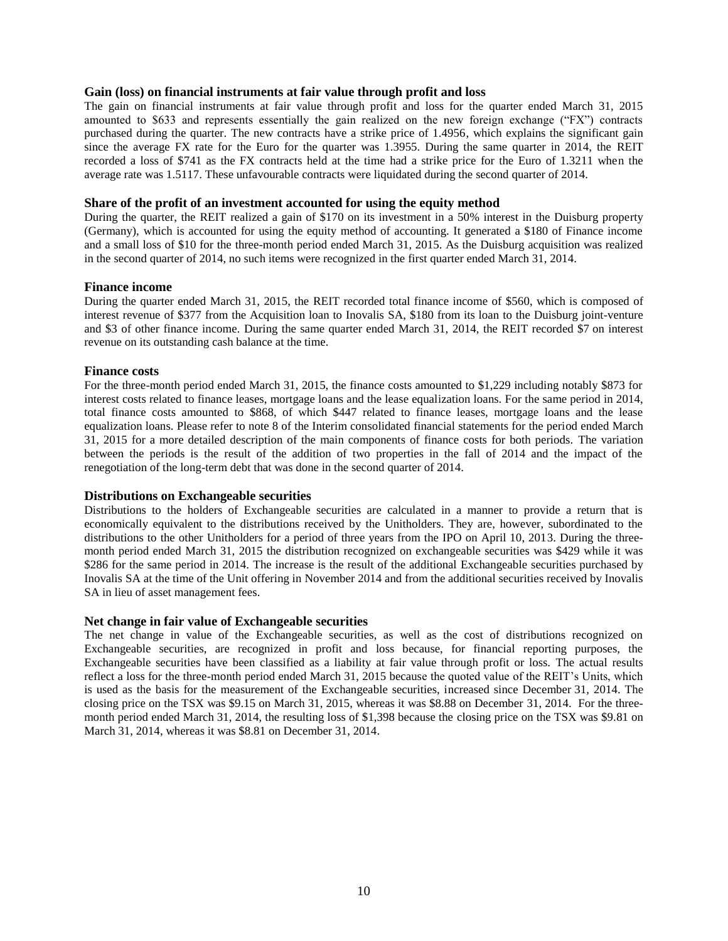#### **Gain (loss) on financial instruments at fair value through profit and loss**

The gain on financial instruments at fair value through profit and loss for the quarter ended March 31, 2015 amounted to \$633 and represents essentially the gain realized on the new foreign exchange ("FX") contracts purchased during the quarter. The new contracts have a strike price of 1.4956, which explains the significant gain since the average FX rate for the Euro for the quarter was 1.3955. During the same quarter in 2014, the REIT recorded a loss of \$741 as the FX contracts held at the time had a strike price for the Euro of 1.3211 when the average rate was 1.5117. These unfavourable contracts were liquidated during the second quarter of 2014.

#### **Share of the profit of an investment accounted for using the equity method**

During the quarter, the REIT realized a gain of \$170 on its investment in a 50% interest in the Duisburg property (Germany), which is accounted for using the equity method of accounting. It generated a \$180 of Finance income and a small loss of \$10 for the three-month period ended March 31, 2015. As the Duisburg acquisition was realized in the second quarter of 2014, no such items were recognized in the first quarter ended March 31, 2014.

#### **Finance income**

During the quarter ended March 31, 2015, the REIT recorded total finance income of \$560, which is composed of interest revenue of \$377 from the Acquisition loan to Inovalis SA, \$180 from its loan to the Duisburg joint-venture and \$3 of other finance income. During the same quarter ended March 31, 2014, the REIT recorded \$7 on interest revenue on its outstanding cash balance at the time.

#### **Finance costs**

For the three-month period ended March 31, 2015, the finance costs amounted to \$1,229 including notably \$873 for interest costs related to finance leases, mortgage loans and the lease equalization loans. For the same period in 2014, total finance costs amounted to \$868, of which \$447 related to finance leases, mortgage loans and the lease equalization loans. Please refer to note 8 of the Interim consolidated financial statements for the period ended March 31, 2015 for a more detailed description of the main components of finance costs for both periods. The variation between the periods is the result of the addition of two properties in the fall of 2014 and the impact of the renegotiation of the long-term debt that was done in the second quarter of 2014.

#### **Distributions on Exchangeable securities**

Distributions to the holders of Exchangeable securities are calculated in a manner to provide a return that is economically equivalent to the distributions received by the Unitholders. They are, however, subordinated to the distributions to the other Unitholders for a period of three years from the IPO on April 10, 2013. During the threemonth period ended March 31, 2015 the distribution recognized on exchangeable securities was \$429 while it was \$286 for the same period in 2014. The increase is the result of the additional Exchangeable securities purchased by Inovalis SA at the time of the Unit offering in November 2014 and from the additional securities received by Inovalis SA in lieu of asset management fees.

#### **Net change in fair value of Exchangeable securities**

The net change in value of the Exchangeable securities, as well as the cost of distributions recognized on Exchangeable securities, are recognized in profit and loss because, for financial reporting purposes, the Exchangeable securities have been classified as a liability at fair value through profit or loss. The actual results reflect a loss for the three-month period ended March 31, 2015 because the quoted value of the REIT's Units, which is used as the basis for the measurement of the Exchangeable securities, increased since December 31, 2014. The closing price on the TSX was \$9.15 on March 31, 2015, whereas it was \$8.88 on December 31, 2014. For the threemonth period ended March 31, 2014, the resulting loss of \$1,398 because the closing price on the TSX was \$9.81 on March 31, 2014, whereas it was \$8.81 on December 31, 2014.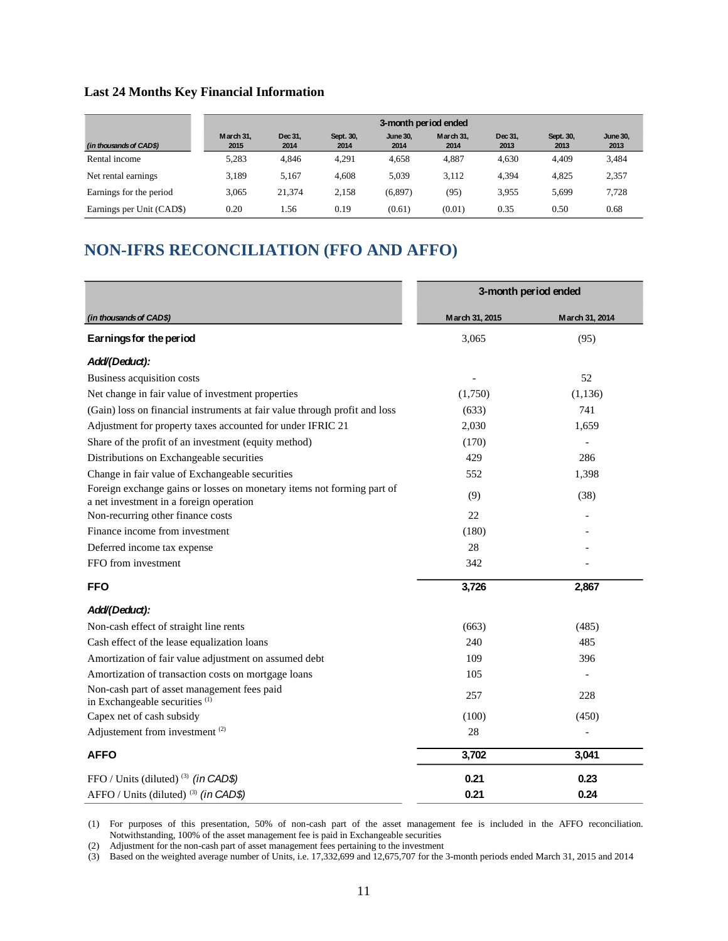### **Last 24 Months Key Financial Information**

|                           |                   | 3-month period ended |                   |                         |                   |                 |                   |                         |
|---------------------------|-------------------|----------------------|-------------------|-------------------------|-------------------|-----------------|-------------------|-------------------------|
| (in thousands of CAD\$)   | March 31.<br>2015 | Dec 31.<br>2014      | Sept. 30.<br>2014 | <b>June 30.</b><br>2014 | March 31.<br>2014 | Dec 31.<br>2013 | Sept. 30,<br>2013 | <b>June 30,</b><br>2013 |
| Rental income             | 5.283             | 4.846                | 4.291             | 4.658                   | 4,887             | 4.630           | 4.409             | 3,484                   |
| Net rental earnings.      | 3.189             | 5.167                | 4.608             | 5.039                   | 3.112             | 4.394           | 4.825             | 2,357                   |
| Earnings for the period   | 3.065             | 21.374               | 2,158             | (6,897)                 | (95)              | 3,955           | 5,699             | 7,728                   |
| Earnings per Unit (CAD\$) | 0.20              | . 56                 | 0.19              | (0.61)                  | (0.01)            | 0.35            | 0.50              | 0.68                    |

# **NON-IFRS RECONCILIATION (FFO AND AFFO)**

|                                                                                                                   | 3-month period ended |                |
|-------------------------------------------------------------------------------------------------------------------|----------------------|----------------|
| (in thousands of CAD\$)                                                                                           | March 31, 2015       | March 31, 2014 |
| Earnings for the period                                                                                           | 3,065                | (95)           |
| Add/(Deduct):                                                                                                     |                      |                |
| Business acquisition costs                                                                                        |                      | 52             |
| Net change in fair value of investment properties                                                                 | (1,750)              | (1, 136)       |
| (Gain) loss on financial instruments at fair value through profit and loss                                        | (633)                | 741            |
| Adjustment for property taxes accounted for under IFRIC 21                                                        | 2,030                | 1,659          |
| Share of the profit of an investment (equity method)                                                              | (170)                |                |
| Distributions on Exchangeable securities                                                                          | 429                  | 286            |
| Change in fair value of Exchangeable securities                                                                   | 552                  | 1,398          |
| Foreign exchange gains or losses on monetary items not forming part of<br>a net investment in a foreign operation | (9)                  | (38)           |
| Non-recurring other finance costs                                                                                 | 22                   |                |
| Finance income from investment                                                                                    | (180)                |                |
| Deferred income tax expense                                                                                       | 28                   |                |
| FFO from investment                                                                                               | 342                  |                |
| <b>FFO</b>                                                                                                        | 3,726                | 2,867          |
| Add/(Deduct):                                                                                                     |                      |                |
| Non-cash effect of straight line rents                                                                            | (663)                | (485)          |
| Cash effect of the lease equalization loans                                                                       | 240                  | 485            |
| Amortization of fair value adjustment on assumed debt                                                             | 109                  | 396            |
| Amortization of transaction costs on mortgage loans                                                               | 105                  |                |
| Non-cash part of asset management fees paid<br>in Exchangeable securities <sup>(1)</sup>                          | 257                  | 228            |
| Capex net of cash subsidy                                                                                         | (100)                | (450)          |
| Adjustement from investment <sup>(2)</sup>                                                                        | 28                   |                |
| <b>AFFO</b>                                                                                                       | 3,702                | 3,041          |
| FFO / Units (diluted) <sup>(3)</sup> (in CAD\$)                                                                   | 0.21                 | 0.23           |
| AFFO / Units (diluted) <sup>(3)</sup> (in CAD\$)                                                                  | 0.21                 | 0.24           |

(1) For purposes of this presentation, 50% of non-cash part of the asset management fee is included in the AFFO reconciliation. Notwithstanding, 100% of the asset management fee is paid in Exchangeable securities

(2) Adjustment for the non-cash part of asset management fees pertaining to the investment

(3) Based on the weighted average number of Units, i.e. 17,332,699 and 12,675,707 for the 3-month periods ended March 31, 2015 and 2014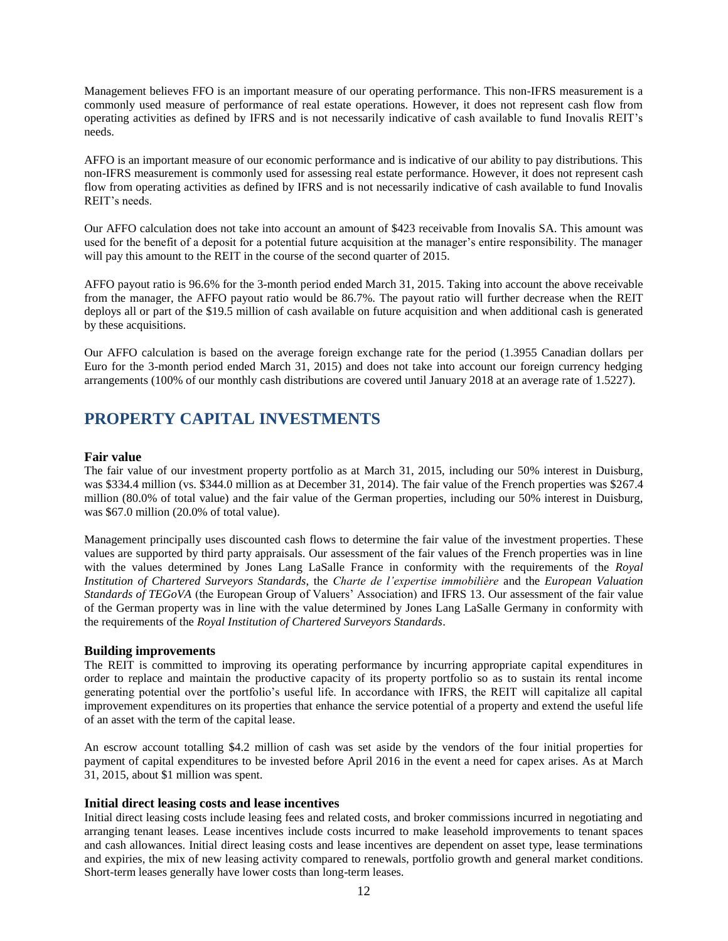Management believes FFO is an important measure of our operating performance. This non-IFRS measurement is a commonly used measure of performance of real estate operations. However, it does not represent cash flow from operating activities as defined by IFRS and is not necessarily indicative of cash available to fund Inovalis REIT's needs.

AFFO is an important measure of our economic performance and is indicative of our ability to pay distributions. This non-IFRS measurement is commonly used for assessing real estate performance. However, it does not represent cash flow from operating activities as defined by IFRS and is not necessarily indicative of cash available to fund Inovalis REIT's needs.

Our AFFO calculation does not take into account an amount of \$423 receivable from Inovalis SA. This amount was used for the benefit of a deposit for a potential future acquisition at the manager's entire responsibility. The manager will pay this amount to the REIT in the course of the second quarter of 2015.

AFFO payout ratio is 96.6% for the 3-month period ended March 31, 2015. Taking into account the above receivable from the manager, the AFFO payout ratio would be 86.7%. The payout ratio will further decrease when the REIT deploys all or part of the \$19.5 million of cash available on future acquisition and when additional cash is generated by these acquisitions.

Our AFFO calculation is based on the average foreign exchange rate for the period (1.3955 Canadian dollars per Euro for the 3-month period ended March 31, 2015) and does not take into account our foreign currency hedging arrangements (100% of our monthly cash distributions are covered until January 2018 at an average rate of 1.5227).

### **PROPERTY CAPITAL INVESTMENTS**

#### **Fair value**

The fair value of our investment property portfolio as at March 31, 2015, including our 50% interest in Duisburg, was \$334.4 million (vs. \$344.0 million as at December 31, 2014). The fair value of the French properties was \$267.4 million (80.0% of total value) and the fair value of the German properties, including our 50% interest in Duisburg, was \$67.0 million (20.0% of total value).

Management principally uses discounted cash flows to determine the fair value of the investment properties. These values are supported by third party appraisals. Our assessment of the fair values of the French properties was in line with the values determined by Jones Lang LaSalle France in conformity with the requirements of the *Royal Institution of Chartered Surveyors Standards*, the *Charte de l'expertise immobilière* and the *European Valuation Standards of TEGoVA* (the European Group of Valuers' Association) and IFRS 13. Our assessment of the fair value of the German property was in line with the value determined by Jones Lang LaSalle Germany in conformity with the requirements of the *Royal Institution of Chartered Surveyors Standards*.

#### **Building improvements**

The REIT is committed to improving its operating performance by incurring appropriate capital expenditures in order to replace and maintain the productive capacity of its property portfolio so as to sustain its rental income generating potential over the portfolio's useful life. In accordance with IFRS, the REIT will capitalize all capital improvement expenditures on its properties that enhance the service potential of a property and extend the useful life of an asset with the term of the capital lease.

An escrow account totalling \$4.2 million of cash was set aside by the vendors of the four initial properties for payment of capital expenditures to be invested before April 2016 in the event a need for capex arises. As at March 31, 2015, about \$1 million was spent.

#### **Initial direct leasing costs and lease incentives**

Initial direct leasing costs include leasing fees and related costs, and broker commissions incurred in negotiating and arranging tenant leases. Lease incentives include costs incurred to make leasehold improvements to tenant spaces and cash allowances. Initial direct leasing costs and lease incentives are dependent on asset type, lease terminations and expiries, the mix of new leasing activity compared to renewals, portfolio growth and general market conditions. Short-term leases generally have lower costs than long-term leases.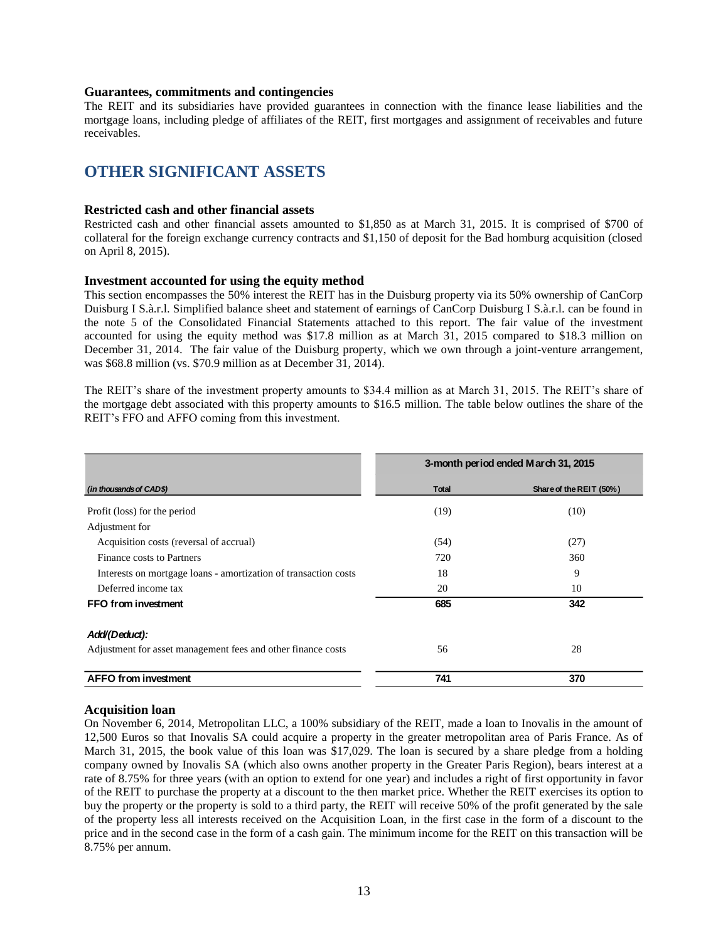#### **Guarantees, commitments and contingencies**

The REIT and its subsidiaries have provided guarantees in connection with the finance lease liabilities and the mortgage loans, including pledge of affiliates of the REIT, first mortgages and assignment of receivables and future receivables.

### **OTHER SIGNIFICANT ASSETS**

#### **Restricted cash and other financial assets**

Restricted cash and other financial assets amounted to \$1,850 as at March 31, 2015. It is comprised of \$700 of collateral for the foreign exchange currency contracts and \$1,150 of deposit for the Bad homburg acquisition (closed on April 8, 2015).

#### **Investment accounted for using the equity method**

This section encompasses the 50% interest the REIT has in the Duisburg property via its 50% ownership of CanCorp Duisburg I S.à.r.l. Simplified balance sheet and statement of earnings of CanCorp Duisburg I S.à.r.l. can be found in the note 5 of the Consolidated Financial Statements attached to this report. The fair value of the investment accounted for using the equity method was \$17.8 million as at March 31, 2015 compared to \$18.3 million on December 31, 2014. The fair value of the Duisburg property, which we own through a joint-venture arrangement, was \$68.8 million (vs. \$70.9 million as at December 31, 2014).

The REIT's share of the investment property amounts to \$34.4 million as at March 31, 2015. The REIT's share of the mortgage debt associated with this property amounts to \$16.5 million. The table below outlines the share of the REIT's FFO and AFFO coming from this investment.

|                                                                 |       | 3-month period ended March 31, 2015 |
|-----------------------------------------------------------------|-------|-------------------------------------|
| (in thousands of CAD\$)                                         | Total | Share of the REIT (50%)             |
| Profit (loss) for the period                                    | (19)  | (10)                                |
| Adjustment for                                                  |       |                                     |
| Acquisition costs (reversal of accrual)                         | (54)  | (27)                                |
| Finance costs to Partners                                       | 720   | 360                                 |
| Interests on mortgage loans - amortization of transaction costs | 18    | 9                                   |
| Deferred income tax                                             | 20    | 10                                  |
| FFO from investment                                             | 685   | 342                                 |
| Add/(Deduct):                                                   |       |                                     |
| Adjustment for asset management fees and other finance costs    | 56    | 28                                  |
| <b>AFFO from investment</b>                                     | 741   | 370                                 |

#### **Acquisition loan**

On November 6, 2014, Metropolitan LLC, a 100% subsidiary of the REIT, made a loan to Inovalis in the amount of 12,500 Euros so that Inovalis SA could acquire a property in the greater metropolitan area of Paris France. As of March 31, 2015, the book value of this loan was \$17,029. The loan is secured by a share pledge from a holding company owned by Inovalis SA (which also owns another property in the Greater Paris Region), bears interest at a rate of 8.75% for three years (with an option to extend for one year) and includes a right of first opportunity in favor of the REIT to purchase the property at a discount to the then market price. Whether the REIT exercises its option to buy the property or the property is sold to a third party, the REIT will receive 50% of the profit generated by the sale of the property less all interests received on the Acquisition Loan, in the first case in the form of a discount to the price and in the second case in the form of a cash gain. The minimum income for the REIT on this transaction will be 8.75% per annum.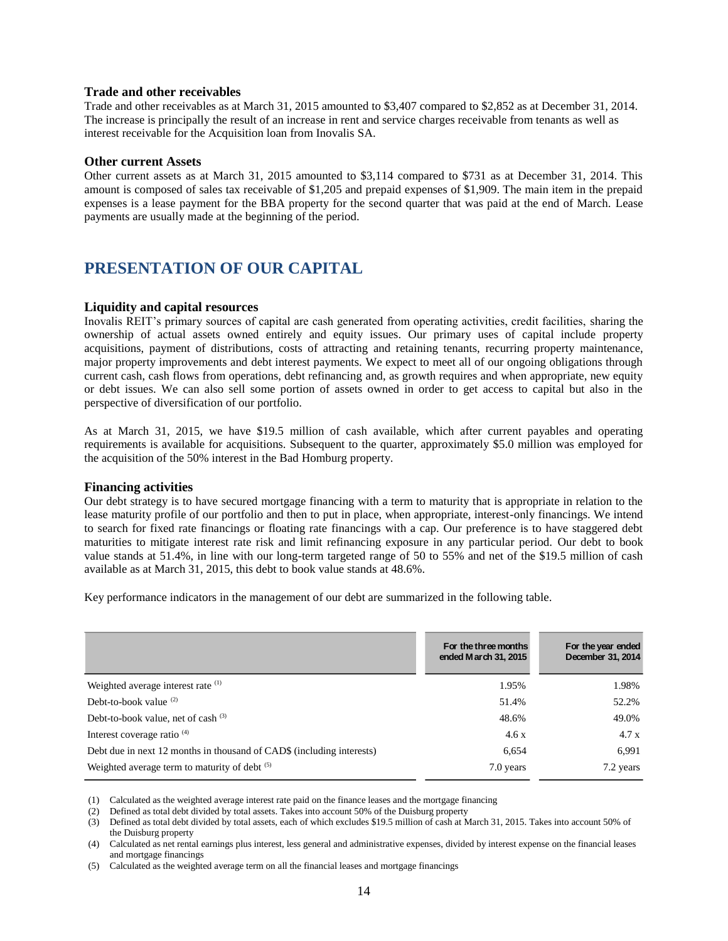#### **Trade and other receivables**

Trade and other receivables as at March 31, 2015 amounted to \$3,407 compared to \$2,852 as at December 31, 2014. The increase is principally the result of an increase in rent and service charges receivable from tenants as well as interest receivable for the Acquisition loan from Inovalis SA.

#### **Other current Assets**

Other current assets as at March 31, 2015 amounted to \$3,114 compared to \$731 as at December 31, 2014. This amount is composed of sales tax receivable of \$1,205 and prepaid expenses of \$1,909. The main item in the prepaid expenses is a lease payment for the BBA property for the second quarter that was paid at the end of March. Lease payments are usually made at the beginning of the period.

# **PRESENTATION OF OUR CAPITAL**

#### **Liquidity and capital resources**

Inovalis REIT's primary sources of capital are cash generated from operating activities, credit facilities, sharing the ownership of actual assets owned entirely and equity issues. Our primary uses of capital include property acquisitions, payment of distributions, costs of attracting and retaining tenants, recurring property maintenance, major property improvements and debt interest payments. We expect to meet all of our ongoing obligations through current cash, cash flows from operations, debt refinancing and, as growth requires and when appropriate, new equity or debt issues. We can also sell some portion of assets owned in order to get access to capital but also in the perspective of diversification of our portfolio.

As at March 31, 2015, we have \$19.5 million of cash available, which after current payables and operating requirements is available for acquisitions. Subsequent to the quarter, approximately \$5.0 million was employed for the acquisition of the 50% interest in the Bad Homburg property.

#### **Financing activities**

Our debt strategy is to have secured mortgage financing with a term to maturity that is appropriate in relation to the lease maturity profile of our portfolio and then to put in place, when appropriate, interest-only financings. We intend to search for fixed rate financings or floating rate financings with a cap. Our preference is to have staggered debt maturities to mitigate interest rate risk and limit refinancing exposure in any particular period. Our debt to book value stands at 51.4%, in line with our long-term targeted range of 50 to 55% and net of the \$19.5 million of cash available as at March 31, 2015, this debt to book value stands at 48.6%.

Key performance indicators in the management of our debt are summarized in the following table.

|                                                                                                                                                                                                                                                                                                                                                                                                                                                                                                                                                                                                                                                                                               | For the three months<br>ended March 31, 2015 | For the year ended<br>December 31, 2014 |
|-----------------------------------------------------------------------------------------------------------------------------------------------------------------------------------------------------------------------------------------------------------------------------------------------------------------------------------------------------------------------------------------------------------------------------------------------------------------------------------------------------------------------------------------------------------------------------------------------------------------------------------------------------------------------------------------------|----------------------------------------------|-----------------------------------------|
| Weighted average interest rate (1)                                                                                                                                                                                                                                                                                                                                                                                                                                                                                                                                                                                                                                                            | 1.95%                                        | 1.98%                                   |
| Debt-to-book value $(2)$                                                                                                                                                                                                                                                                                                                                                                                                                                                                                                                                                                                                                                                                      | 51.4%                                        | 52.2%                                   |
| Debt-to-book value, net of cash $(3)$                                                                                                                                                                                                                                                                                                                                                                                                                                                                                                                                                                                                                                                         | 48.6%                                        | 49.0%                                   |
| Interest coverage ratio <sup>(4)</sup>                                                                                                                                                                                                                                                                                                                                                                                                                                                                                                                                                                                                                                                        | 4.6x                                         | 4.7 x                                   |
| Debt due in next 12 months in thousand of CAD\$ (including interests)                                                                                                                                                                                                                                                                                                                                                                                                                                                                                                                                                                                                                         | 6,654                                        | 6,991                                   |
| Weighted average term to maturity of debt (5)                                                                                                                                                                                                                                                                                                                                                                                                                                                                                                                                                                                                                                                 | 7.0 years                                    | 7.2 years                               |
| Calculated as the weighted average interest rate paid on the finance leases and the mortgage financing<br>(1)<br>Defined as total debt divided by total assets. Takes into account 50% of the Duisburg property<br>(2)<br>Defined as total debt divided by total assets, each of which excludes \$19.5 million of cash at March 31, 2015. Takes into account 50% of<br>(3)<br>the Duisburg property<br>Calculated as net rental earnings plus interest, less general and administrative expenses, divided by interest expense on the financial leases<br>(4)<br>and mortgage financings<br>Calculated as the weighted average term on all the financial leases and mortgage financings<br>(5) |                                              |                                         |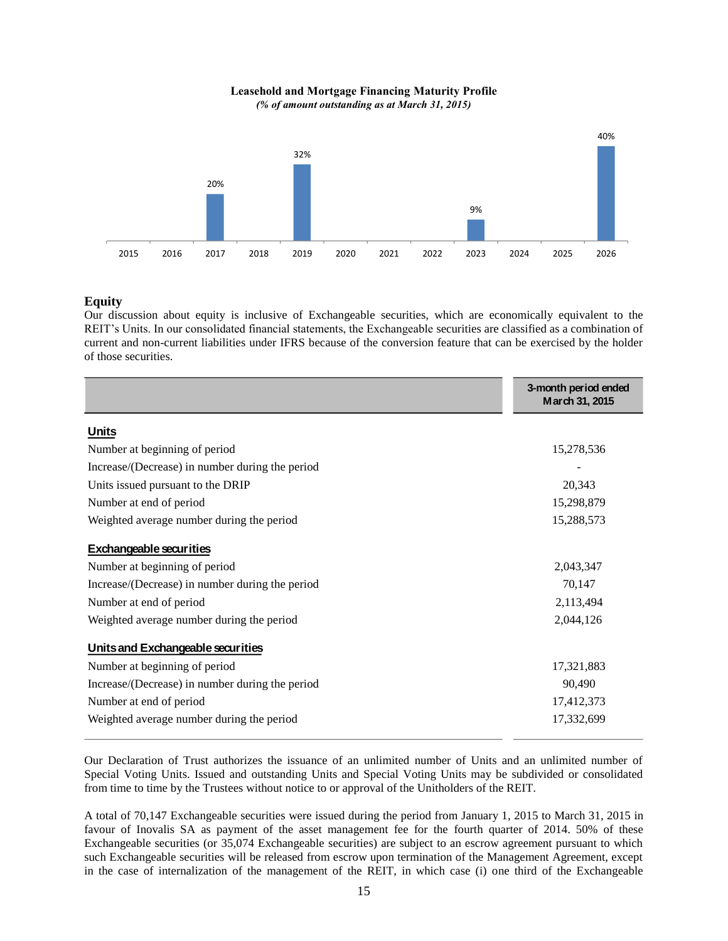**Leasehold and Mortgage Financing Maturity Profile** *(% of amount outstanding as at March 31, 2015)*



#### **Equity**

Our discussion about equity is inclusive of Exchangeable securities, which are economically equivalent to the REIT's Units. In our consolidated financial statements, the Exchangeable securities are classified as a combination of current and non-current liabilities under IFRS because of the conversion feature that can be exercised by the holder of those securities.

|                                                 | 3-month period ended<br>March 31, 2015 |
|-------------------------------------------------|----------------------------------------|
| <b>Units</b>                                    |                                        |
| Number at beginning of period                   | 15,278,536                             |
| Increase/(Decrease) in number during the period |                                        |
| Units issued pursuant to the DRIP               | 20,343                                 |
| Number at end of period                         | 15,298,879                             |
| Weighted average number during the period       | 15,288,573                             |
| <b>Exchangeable securities</b>                  |                                        |
| Number at beginning of period                   | 2,043,347                              |
| Increase/(Decrease) in number during the period | 70,147                                 |
| Number at end of period                         | 2,113,494                              |
| Weighted average number during the period       | 2,044,126                              |
| Units and Exchangeable securities               |                                        |
| Number at beginning of period                   | 17,321,883                             |
| Increase/(Decrease) in number during the period | 90,490                                 |
| Number at end of period                         | 17,412,373                             |
| Weighted average number during the period       | 17,332,699                             |

Our Declaration of Trust authorizes the issuance of an unlimited number of Units and an unlimited number of Special Voting Units. Issued and outstanding Units and Special Voting Units may be subdivided or consolidated from time to time by the Trustees without notice to or approval of the Unitholders of the REIT.

A total of 70,147 Exchangeable securities were issued during the period from January 1, 2015 to March 31, 2015 in favour of Inovalis SA as payment of the asset management fee for the fourth quarter of 2014. 50% of these Exchangeable securities (or 35,074 Exchangeable securities) are subject to an escrow agreement pursuant to which such Exchangeable securities will be released from escrow upon termination of the Management Agreement, except in the case of internalization of the management of the REIT, in which case (i) one third of the Exchangeable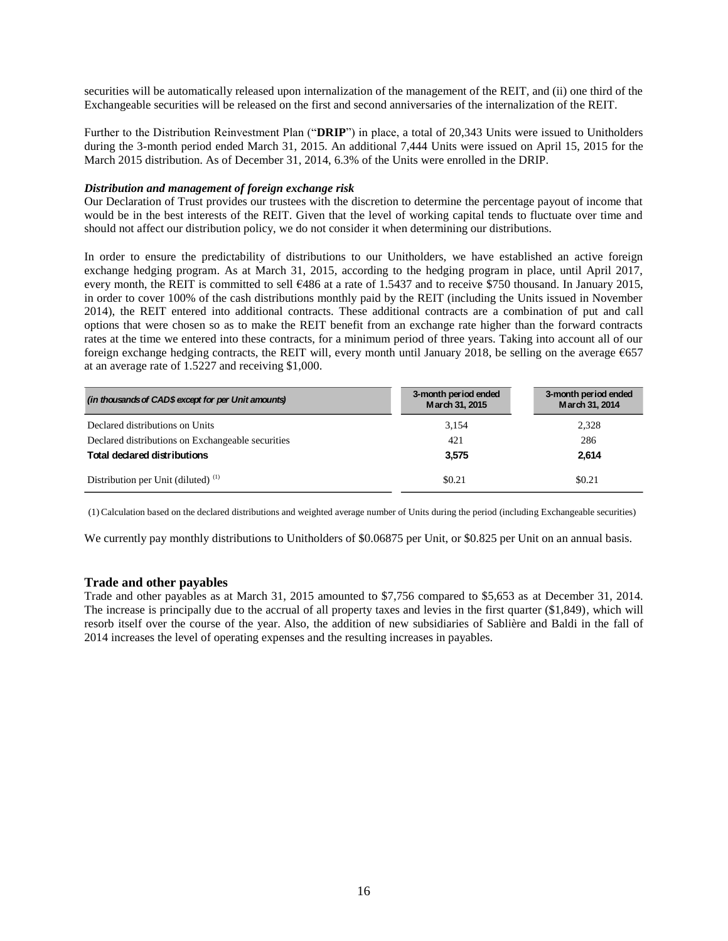securities will be automatically released upon internalization of the management of the REIT, and (ii) one third of the Exchangeable securities will be released on the first and second anniversaries of the internalization of the REIT.

Further to the Distribution Reinvestment Plan ("**DRIP**") in place, a total of 20,343 Units were issued to Unitholders during the 3-month period ended March 31, 2015. An additional 7,444 Units were issued on April 15, 2015 for the March 2015 distribution. As of December 31, 2014, 6.3% of the Units were enrolled in the DRIP.

#### *Distribution and management of foreign exchange risk*

Our Declaration of Trust provides our trustees with the discretion to determine the percentage payout of income that would be in the best interests of the REIT. Given that the level of working capital tends to fluctuate over time and should not affect our distribution policy, we do not consider it when determining our distributions.

In order to ensure the predictability of distributions to our Unitholders, we have established an active foreign exchange hedging program. As at March 31, 2015, according to the hedging program in place, until April 2017, every month, the REIT is committed to sell  $\epsilon$ 486 at a rate of 1.5437 and to receive \$750 thousand. In January 2015, in order to cover 100% of the cash distributions monthly paid by the REIT (including the Units issued in November 2014), the REIT entered into additional contracts. These additional contracts are a combination of put and call options that were chosen so as to make the REIT benefit from an exchange rate higher than the forward contracts rates at the time we entered into these contracts, for a minimum period of three years. Taking into account all of our foreign exchange hedging contracts, the REIT will, every month until January 2018, be selling on the average €657 at an average rate of 1.5227 and receiving \$1,000.

| (in thousands of CAD\$ except for per Unit amounts) | 3-month period ended<br>March 31, 2015 | 3-month period ended<br>March 31, 2014 |
|-----------------------------------------------------|----------------------------------------|----------------------------------------|
| Declared distributions on Units                     | 3,154                                  | 2,328                                  |
| Declared distributions on Exchangeable securities   | 421                                    | 286                                    |
| <b>Total declared distributions</b>                 | 3.575                                  | 2,614                                  |
| Distribution per Unit (diluted) $(1)$               | \$0.21                                 | \$0.21                                 |

(1) Calculation based on the declared distributions and weighted average number of Units during the period (including Exchangeable securities)

We currently pay monthly distributions to Unitholders of \$0.06875 per Unit, or \$0.825 per Unit on an annual basis.

#### **Trade and other payables**

Trade and other payables as at March 31, 2015 amounted to \$7,756 compared to \$5,653 as at December 31, 2014. The increase is principally due to the accrual of all property taxes and levies in the first quarter (\$1,849), which will resorb itself over the course of the year. Also, the addition of new subsidiaries of Sablière and Baldi in the fall of 2014 increases the level of operating expenses and the resulting increases in payables.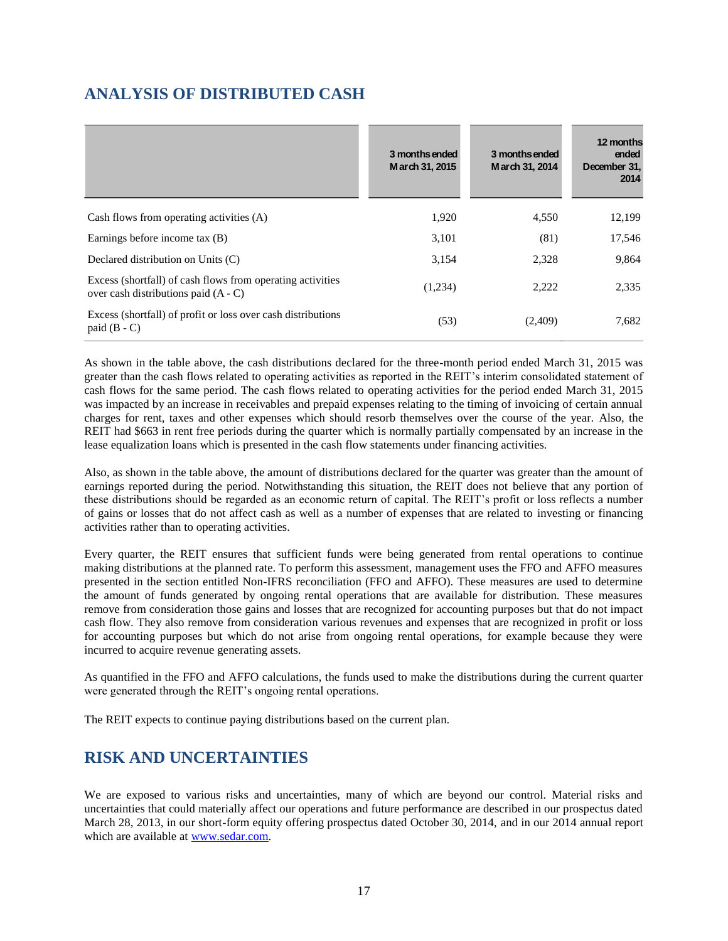# **ANALYSIS OF DISTRIBUTED CASH**

|                                                                                                      | 3 months ended<br>March 31, 2015 | 3 months ended<br>March 31, 2014 | 12 months<br>ended<br>December 31,<br>2014 |
|------------------------------------------------------------------------------------------------------|----------------------------------|----------------------------------|--------------------------------------------|
| Cash flows from operating activities (A)                                                             | 1,920                            | 4,550                            | 12,199                                     |
| Earnings before income tax (B)                                                                       | 3,101                            | (81)                             | 17,546                                     |
| Declared distribution on Units (C)                                                                   | 3,154                            | 2,328                            | 9,864                                      |
| Excess (shortfall) of cash flows from operating activities<br>over cash distributions paid $(A - C)$ | (1,234)                          | 2.222                            | 2,335                                      |
| Excess (shortfall) of profit or loss over cash distributions<br>paid $(B - C)$                       | (53)                             | (2,409)                          | 7,682                                      |

As shown in the table above, the cash distributions declared for the three-month period ended March 31, 2015 was greater than the cash flows related to operating activities as reported in the REIT's interim consolidated statement of cash flows for the same period. The cash flows related to operating activities for the period ended March 31, 2015 was impacted by an increase in receivables and prepaid expenses relating to the timing of invoicing of certain annual charges for rent, taxes and other expenses which should resorb themselves over the course of the year. Also, the REIT had \$663 in rent free periods during the quarter which is normally partially compensated by an increase in the lease equalization loans which is presented in the cash flow statements under financing activities.

Also, as shown in the table above, the amount of distributions declared for the quarter was greater than the amount of earnings reported during the period. Notwithstanding this situation, the REIT does not believe that any portion of these distributions should be regarded as an economic return of capital. The REIT's profit or loss reflects a number of gains or losses that do not affect cash as well as a number of expenses that are related to investing or financing activities rather than to operating activities.

Every quarter, the REIT ensures that sufficient funds were being generated from rental operations to continue making distributions at the planned rate. To perform this assessment, management uses the FFO and AFFO measures presented in the section entitled Non-IFRS reconciliation (FFO and AFFO). These measures are used to determine the amount of funds generated by ongoing rental operations that are available for distribution. These measures remove from consideration those gains and losses that are recognized for accounting purposes but that do not impact cash flow. They also remove from consideration various revenues and expenses that are recognized in profit or loss for accounting purposes but which do not arise from ongoing rental operations, for example because they were incurred to acquire revenue generating assets.

As quantified in the FFO and AFFO calculations, the funds used to make the distributions during the current quarter were generated through the REIT's ongoing rental operations.

The REIT expects to continue paying distributions based on the current plan.

# **RISK AND UNCERTAINTIES**

We are exposed to various risks and uncertainties, many of which are beyond our control. Material risks and uncertainties that could materially affect our operations and future performance are described in our prospectus dated March 28, 2013, in our short-form equity offering prospectus dated October 30, 2014, and in our 2014 annual report which are available at [www.sedar.com.](http://www.sedar.com/)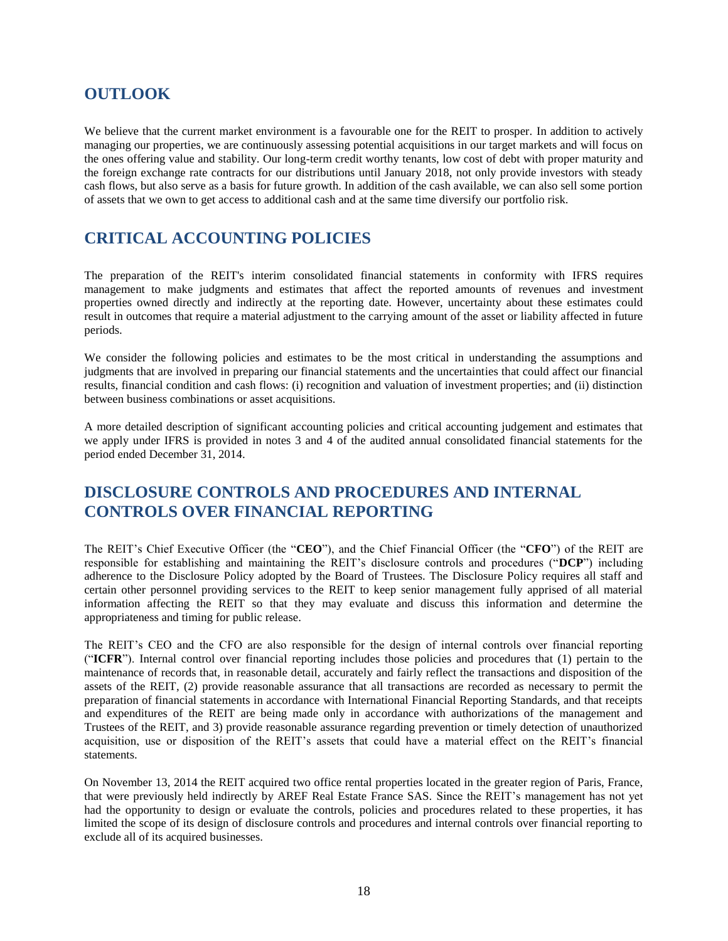### **OUTLOOK**

We believe that the current market environment is a favourable one for the REIT to prosper. In addition to actively managing our properties, we are continuously assessing potential acquisitions in our target markets and will focus on the ones offering value and stability. Our long-term credit worthy tenants, low cost of debt with proper maturity and the foreign exchange rate contracts for our distributions until January 2018, not only provide investors with steady cash flows, but also serve as a basis for future growth. In addition of the cash available, we can also sell some portion of assets that we own to get access to additional cash and at the same time diversify our portfolio risk.

# **CRITICAL ACCOUNTING POLICIES**

The preparation of the REIT's interim consolidated financial statements in conformity with IFRS requires management to make judgments and estimates that affect the reported amounts of revenues and investment properties owned directly and indirectly at the reporting date. However, uncertainty about these estimates could result in outcomes that require a material adjustment to the carrying amount of the asset or liability affected in future periods.

We consider the following policies and estimates to be the most critical in understanding the assumptions and judgments that are involved in preparing our financial statements and the uncertainties that could affect our financial results, financial condition and cash flows: (i) recognition and valuation of investment properties; and (ii) distinction between business combinations or asset acquisitions.

A more detailed description of significant accounting policies and critical accounting judgement and estimates that we apply under IFRS is provided in notes 3 and 4 of the audited annual consolidated financial statements for the period ended December 31, 2014.

# **DISCLOSURE CONTROLS AND PROCEDURES AND INTERNAL CONTROLS OVER FINANCIAL REPORTING**

The REIT's Chief Executive Officer (the "**CEO**"), and the Chief Financial Officer (the "**CFO**") of the REIT are responsible for establishing and maintaining the REIT's disclosure controls and procedures ("**DCP**") including adherence to the Disclosure Policy adopted by the Board of Trustees. The Disclosure Policy requires all staff and certain other personnel providing services to the REIT to keep senior management fully apprised of all material information affecting the REIT so that they may evaluate and discuss this information and determine the appropriateness and timing for public release.

The REIT's CEO and the CFO are also responsible for the design of internal controls over financial reporting ("**ICFR**"). Internal control over financial reporting includes those policies and procedures that (1) pertain to the maintenance of records that, in reasonable detail, accurately and fairly reflect the transactions and disposition of the assets of the REIT, (2) provide reasonable assurance that all transactions are recorded as necessary to permit the preparation of financial statements in accordance with International Financial Reporting Standards, and that receipts and expenditures of the REIT are being made only in accordance with authorizations of the management and Trustees of the REIT, and 3) provide reasonable assurance regarding prevention or timely detection of unauthorized acquisition, use or disposition of the REIT's assets that could have a material effect on the REIT's financial statements.

On November 13, 2014 the REIT acquired two office rental properties located in the greater region of Paris, France, that were previously held indirectly by AREF Real Estate France SAS. Since the REIT's management has not yet had the opportunity to design or evaluate the controls, policies and procedures related to these properties, it has limited the scope of its design of disclosure controls and procedures and internal controls over financial reporting to exclude all of its acquired businesses.